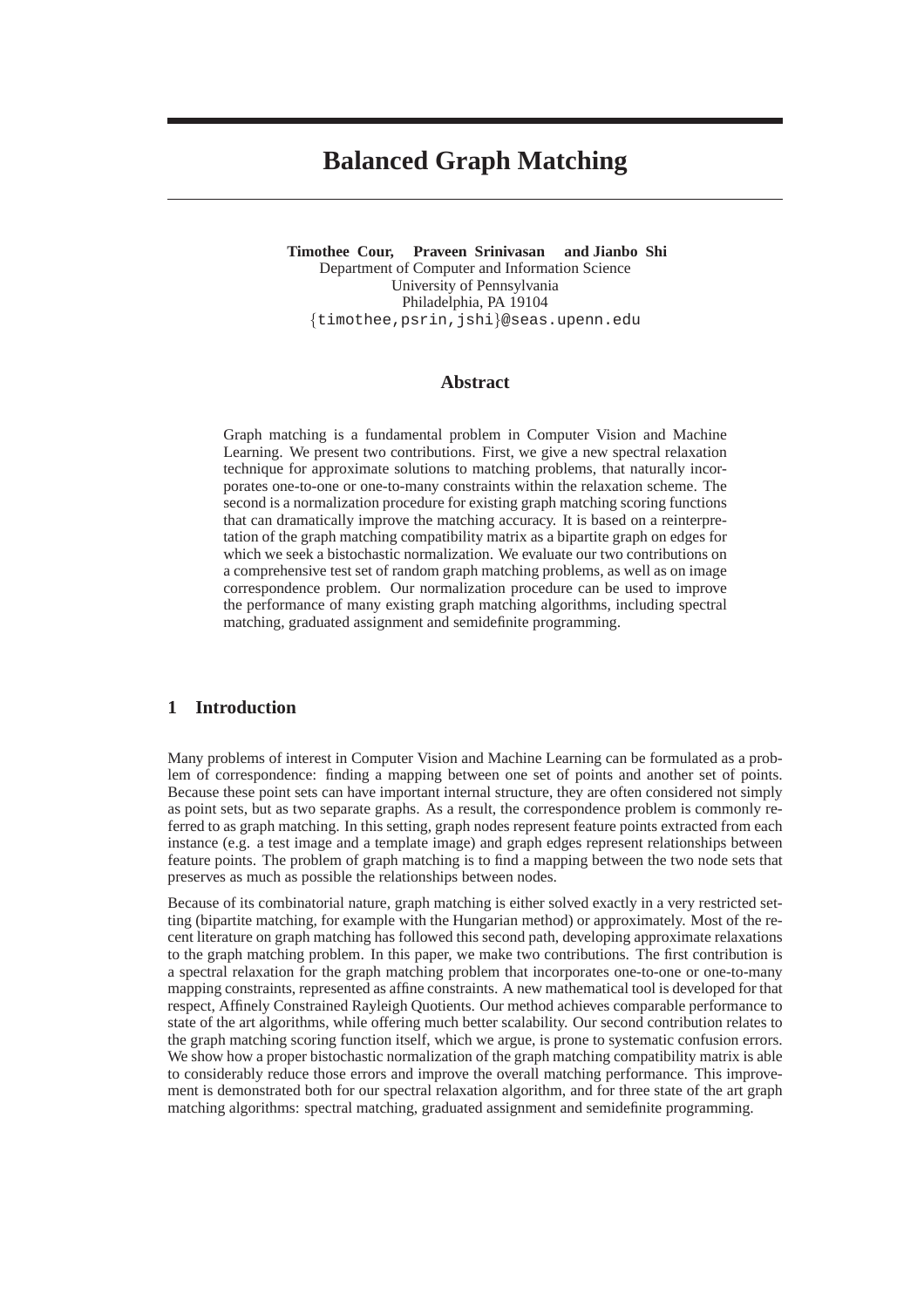# **Balanced Graph Matching**

**Timothee Cour, Praveen Srinivasan and Jianbo Shi** Department of Computer and Information Science University of Pennsylvania Philadelphia, PA 19104 {timothee,psrin,jshi}@seas.upenn.edu

### **Abstract**

Graph matching is a fundamental problem in Computer Vision and Machine Learning. We present two contributions. First, we give a new spectral relaxation technique for approximate solutions to matching problems, that naturally incorporates one-to-one or one-to-many constraints within the relaxation scheme. The second is a normalization procedure for existing graph matching scoring functions that can dramatically improve the matching accuracy. It is based on a reinterpretation of the graph matching compatibility matrix as a bipartite graph on edges for which we seek a bistochastic normalization. We evaluate our two contributions on a comprehensive test set of random graph matching problems, as well as on image correspondence problem. Our normalization procedure can be used to improve the performance of many existing graph matching algorithms, including spectral matching, graduated assignment and semidefinite programming.

# **1 Introduction**

Many problems of interest in Computer Vision and Machine Learning can be formulated as a problem of correspondence: finding a mapping between one set of points and another set of points. Because these point sets can have important internal structure, they are often considered not simply as point sets, but as two separate graphs. As a result, the correspondence problem is commonly referred to as graph matching. In this setting, graph nodes represent feature points extracted from each instance (e.g. a test image and a template image) and graph edges represent relationships between feature points. The problem of graph matching is to find a mapping between the two node sets that preserves as much as possible the relationships between nodes.

Because of its combinatorial nature, graph matching is either solved exactly in a very restricted setting (bipartite matching, for example with the Hungarian method) or approximately. Most of the recent literature on graph matching has followed this second path, developing approximate relaxations to the graph matching problem. In this paper, we make two contributions. The first contribution is a spectral relaxation for the graph matching problem that incorporates one-to-one or one-to-many mapping constraints, represented as affine constraints. A new mathematical tool is developed for that respect, Affinely Constrained Rayleigh Quotients. Our method achieves comparable performance to state of the art algorithms, while offering much better scalability. Our second contribution relates to the graph matching scoring function itself, which we argue, is prone to systematic confusion errors. We show how a proper bistochastic normalization of the graph matching compatibility matrix is able to considerably reduce those errors and improve the overall matching performance. This improvement is demonstrated both for our spectral relaxation algorithm, and for three state of the art graph matching algorithms: spectral matching, graduated assignment and semidefinite programming.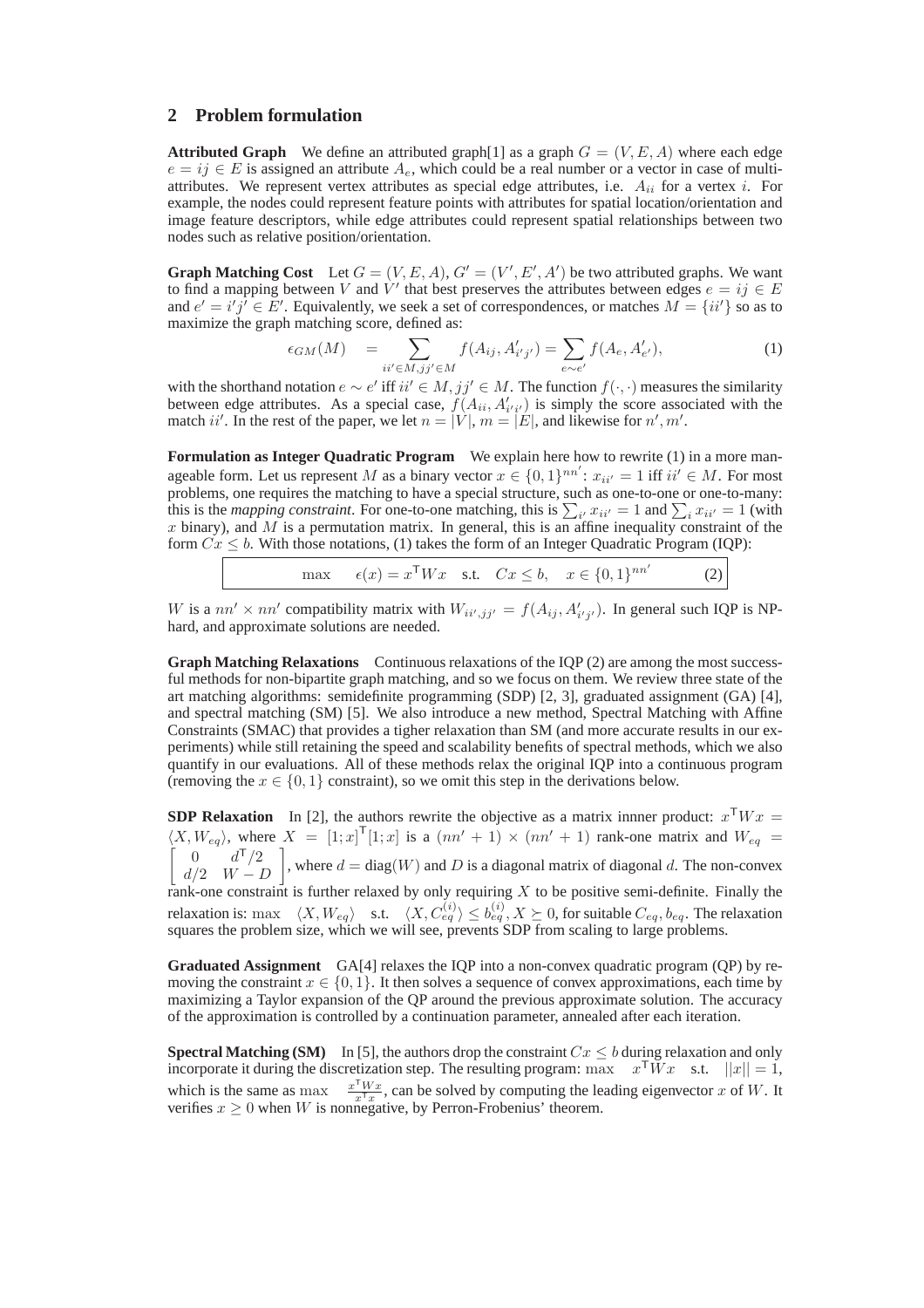## **2 Problem formulation**

**Attributed Graph** We define an attributed graph  $G = (V, E, A)$  where each edge  $e = i j \in E$  is assigned an attribute  $A_e$ , which could be a real number or a vector in case of multiattributes. We represent vertex attributes as special edge attributes, i.e.  $A_{ii}$  for a vertex i. For example, the nodes could represent feature points with attributes for spatial location/orientation and image feature descriptors, while edge attributes could represent spatial relationships between two nodes such as relative position/orientation.

**Graph Matching Cost** Let  $G = (V, E, A), G' = (V', E', A')$  be two attributed graphs. We want to find a mapping between V and V' that best preserves the attributes between edges  $e = ij \in E$ and  $e' = i'j' \in E'$ . Equivalently, we seek a set of correspondences, or matches  $M = \{ii'\}$  so as to maximize the graph matching score, defined as:

$$
\epsilon_{GM}(M) = \sum_{ii' \in M, jj' \in M} f(A_{ij}, A'_{i'j'}) = \sum_{e \sim e'} f(A_e, A'_{e'}), \tag{1}
$$

with the shorthand notation  $e \sim e'$  iff  $ii' \in M$ ,  $jj' \in M$ . The function  $f(\cdot, \cdot)$  measures the similarity between edge attributes. As a special case,  $f(A_{ii}, A'_{i'i'})$  is simply the score associated with the match ii'. In the rest of the paper, we let  $n = |V|$ ,  $m = |E|$ , and likewise for  $n', m'$ .

**Formulation as Integer Quadratic Program** We explain here how to rewrite (1) in a more manageable form. Let us represent M as a binary vector  $x \in \{0,1\}^{nn'}$ :  $x_{ii'} = 1$  iff  $ii' \in M$ . For most problems, one requires the matching to have a special structure, such as one-to-one or one-to-many: this is the *mapping constraint*. For one-to-one matching, this is  $\sum_{i'} x_{ii'} = 1$  and  $\sum_{i} x_{ii'} = 1$  (with x binary), and  $M$  is a permutation matrix. In general, this is an affine inequality constraint of the form  $Cx \leq b$ . With those notations, (1) takes the form of an Integer Quadratic Program (IQP):

$$
\max \quad \epsilon(x) = x^{\mathsf{T}} W x \quad \text{s.t.} \quad Cx \le b, \quad x \in \{0, 1\}^{nn'} \tag{2}
$$

W is a  $nn' \times nn'$  compatibility matrix with  $W_{ii',jj'} = f(A_{ij}, A'_{i'j'})$ . In general such IQP is NPhard, and approximate solutions are needed.

**Graph Matching Relaxations** Continuous relaxations of the IQP (2) are among the most successful methods for non-bipartite graph matching, and so we focus on them. We review three state of the art matching algorithms: semidefinite programming (SDP) [2, 3], graduated assignment (GA) [4], and spectral matching (SM) [5]. We also introduce a new method, Spectral Matching with Affine Constraints (SMAC) that provides a tigher relaxation than SM (and more accurate results in our experiments) while still retaining the speed and scalability benefits of spectral methods, which we also quantify in our evaluations. All of these methods relax the original IQP into a continuous program (removing the  $x \in \{0, 1\}$  constraint), so we omit this step in the derivations below.

**SDP Relaxation** In [2], the authors rewrite the objective as a matrix innner product:  $x^{\mathsf{T}}Wx =$  $\langle X, W_{eq} \rangle$ , where  $X = \begin{bmatrix} 1 \\ x \end{bmatrix}^T \begin{bmatrix} 1 \\ x \end{bmatrix}$  is a  $(nn' + 1) \times (nn' + 1)$  rank-one matrix and  $W_{eq}$ ſ  $0 \frac{d^{\mathsf{T}}}{2}$  $d/2$   $W-D$ , where  $d = diag(W)$  and D is a diagonal matrix of diagonal d. The non-convex rank-one constraint is further relaxed by only requiring  $X$  to be positive semi-definite. Finally the relaxation is: max  $\langle X, W_{eq} \rangle$  s.t.  $\langle X, C_{eq}^{(i)} \rangle \leq b_{eq}^{(i)}, X \succeq 0$ , for suitable  $C_{eq}, b_{eq}$ . The relaxation squares the problem size, which we will see, prevents SDP from scaling to large problems.

**Graduated Assignment** GA[4] relaxes the IQP into a non-convex quadratic program (QP) by removing the constraint  $x \in \{0, 1\}$ . It then solves a sequence of convex approximations, each time by maximizing a Taylor expansion of the QP around the previous approximate solution. The accuracy of the approximation is controlled by a continuation parameter, annealed after each iteration.

**Spectral Matching (SM)** In [5], the authors drop the constraint  $Cx \leq b$  during relaxation and only incorporate it during the discretization step. The resulting program:  $\max_{x \in \mathcal{X}} x^{\mathsf{T}} W x$  s.t.  $||x|| = 1$ , which is the same as max  $\frac{x^{\text{T}} W x}{x^{\text{T}} x}$ , can be solved by computing the leading eigenvector x of W. It verifies  $x \geq 0$  when W is nonnegative, by Perron-Frobenius' theorem.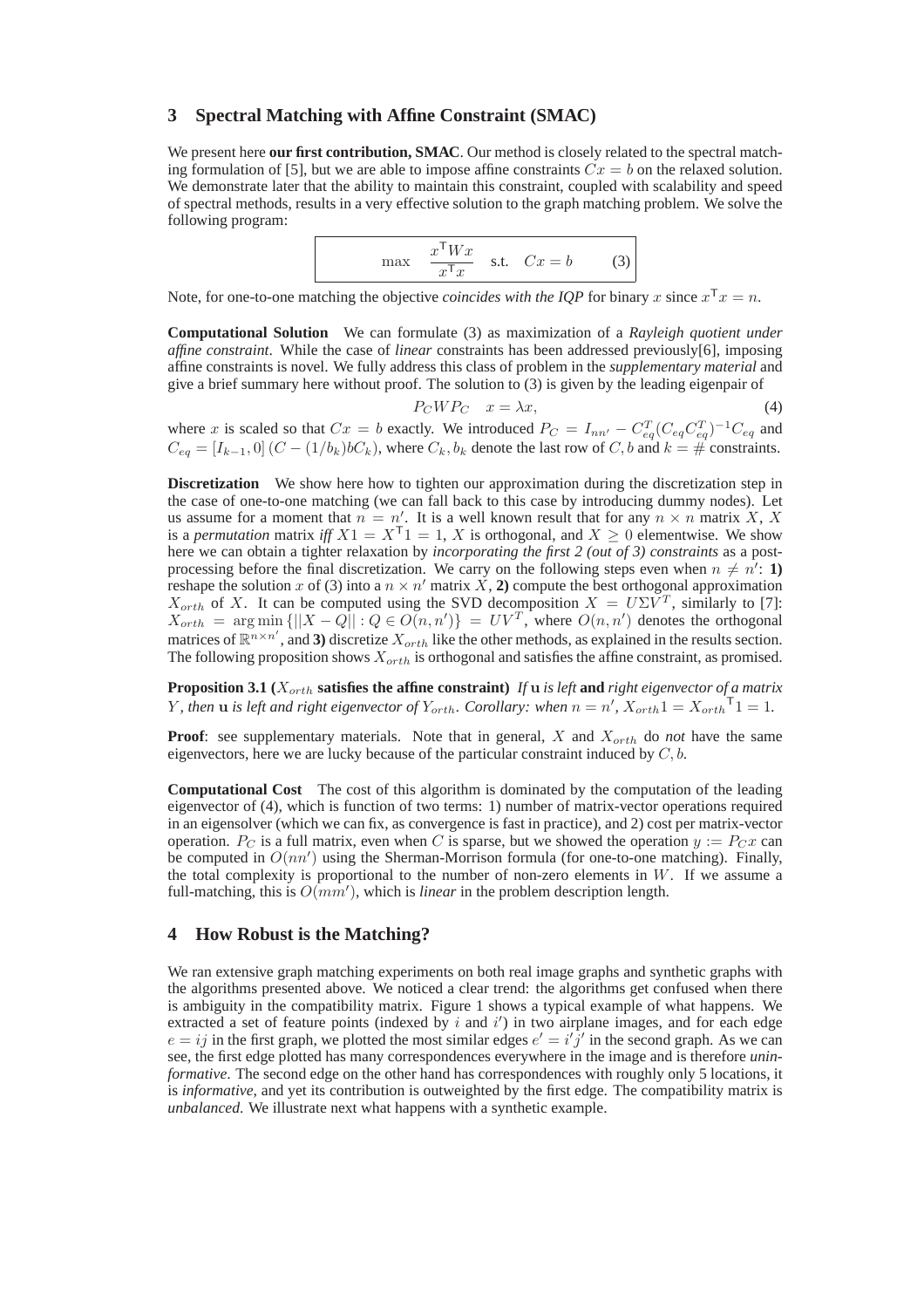## **3 Spectral Matching with Affine Constraint (SMAC)**

We present here **our first contribution, SMAC**. Our method is closely related to the spectral matching formulation of [5], but we are able to impose affine constraints  $Cx = b$  on the relaxed solution. We demonstrate later that the ability to maintain this constraint, coupled with scalability and speed of spectral methods, results in a very effective solution to the graph matching problem. We solve the following program:

$$
\max \quad \frac{x^{\mathsf{T}}Wx}{x^{\mathsf{T}}x} \quad \text{s.t.} \quad Cx = b \tag{3}
$$

Note, for one-to-one matching the objective *coincides with the IQP* for binary x since  $x^{\mathsf{T}} x = n$ .

**Computational Solution** We can formulate (3) as maximization of a *Rayleigh quotient under affine constraint*. While the case of *linear* constraints has been addressed previously[6], imposing affine constraints is novel. We fully address this class of problem in the *supplementary material* and give a brief summary here without proof. The solution to (3) is given by the leading eigenpair of

$$
P_CWP_C \quad x = \lambda x,\tag{4}
$$

where x is scaled so that  $Cx = b$  exactly. We introduced  $P_C = I_{nn'} - C_{eq}^T (C_{eq} C_{eq}^T)^{-1} C_{eq}$  and  $C_{eq} = [I_{k-1}, 0] (C - (1/b_k) bC_k)$ , where  $C_k, b_k$  denote the last row of C, b and  $k = \text{\# constraints.}$ 

**Discretization** We show here how to tighten our approximation during the discretization step in the case of one-to-one matching (we can fall back to this case by introducing dummy nodes). Let us assume for a moment that  $n = n'$ . It is a well known result that for any  $n \times n$  matrix X, X is a *permutation* matrix *iff*  $X1 = X^{T}1 = 1$ , X is orthogonal, and  $X \ge 0$  elementwise. We show here we can obtain a tighter relaxation by *incorporating the first 2 (out of 3) constraints* as a postprocessing before the final discretization. We carry on the following steps even when  $n \neq n'$ : 1) reshape the solution x of (3) into a  $n \times n'$  matrix  $\hat{X}$ , 2) compute the best orthogonal approximation  $X_{orth}$  of X. It can be computed using the SVD decomposition  $X = U\Sigma V^T$ , similarly to [7]:  $X_{orth} = \arg \min \{ ||X - Q|| : Q \in O(n, n') \} = UV^T$ , where  $O(n, n')$  denotes the orthogonal matrices of  $\mathbb{R}^{n \times n'}$ , and **3**) discretize  $X_{orth}$  like the other methods, as explained in the results section. The following proposition shows  $X_{orth}$  is orthogonal and satisfies the affine constraint, as promised.

**Proposition 3.1 (**Xorth **satisfies the affine constraint)** *If* u *is left* **and** *right eigenvector of a matrix Y*, then **u** is left and right eigenvector of  $Y_{orth}$ . Corollary: when  $n = n'$ ,  $X_{orth}1 = X_{orth}$ <sup>T</sup> $1 = 1$ .

**Proof**: see supplementary materials. Note that in general, X and  $X_{orth}$  do *not* have the same eigenvectors, here we are lucky because of the particular constraint induced by  $C, b$ .

**Computational Cost** The cost of this algorithm is dominated by the computation of the leading eigenvector of (4), which is function of two terms: 1) number of matrix-vector operations required in an eigensolver (which we can fix, as convergence is fast in practice), and 2) cost per matrix-vector operation.  $P_C$  is a full matrix, even when C is sparse, but we showed the operation  $y := P_C x$  can be computed in  $O(nn')$  using the Sherman-Morrison formula (for one-to-one matching). Finally, the total complexity is proportional to the number of non-zero elements in  $W$ . If we assume a full-matching, this is  $O(mm')$ , which is *linear* in the problem description length.

## **4 How Robust is the Matching?**

We ran extensive graph matching experiments on both real image graphs and synthetic graphs with the algorithms presented above. We noticed a clear trend: the algorithms get confused when there is ambiguity in the compatibility matrix. Figure 1 shows a typical example of what happens. We extracted a set of feature points (indexed by  $i$  and  $i'$ ) in two airplane images, and for each edge  $e = ij$  in the first graph, we plotted the most similar edges  $e' = i'j'$  in the second graph. As we can see, the first edge plotted has many correspondences everywhere in the image and is therefore *uninformative*. The second edge on the other hand has correspondences with roughly only 5 locations, it is *informative*, and yet its contribution is outweighted by the first edge. The compatibility matrix is *unbalanced*. We illustrate next what happens with a synthetic example.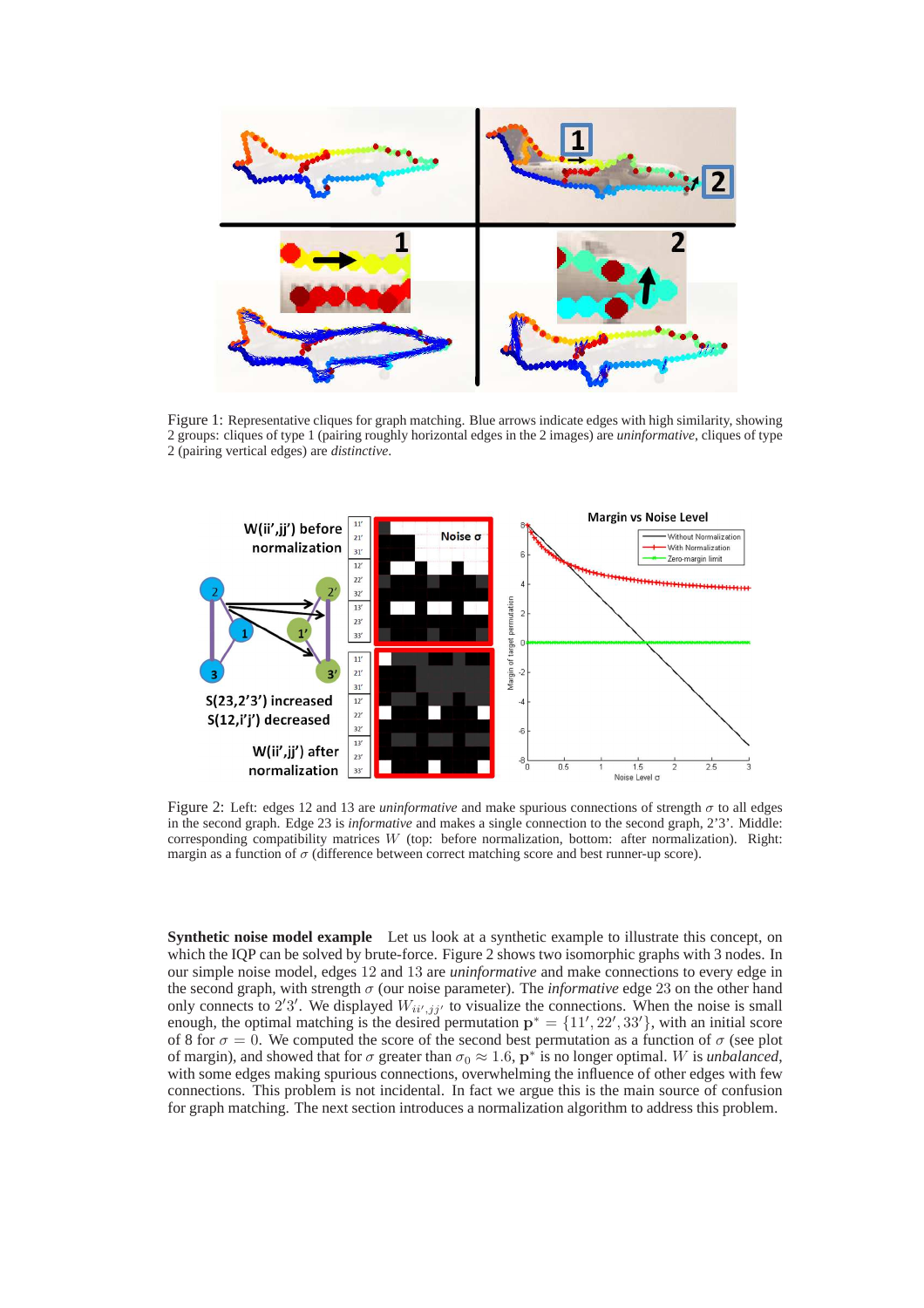

Figure 1: Representative cliques for graph matching. Blue arrows indicate edges with high similarity, showing 2 groups: cliques of type 1 (pairing roughly horizontal edges in the 2 images) are *uninformative*, cliques of type 2 (pairing vertical edges) are *distinctive*.



Figure 2: Left: edges 12 and 13 are *uninformative* and make spurious connections of strength  $\sigma$  to all edges in the second graph. Edge 23 is *informative* and makes a single connection to the second graph, 2'3'. Middle: corresponding compatibility matrices W (top: before normalization, bottom: after normalization). Right: margin as a function of  $\sigma$  (difference between correct matching score and best runner-up score).

**Synthetic noise model example** Let us look at a synthetic example to illustrate this concept, on which the IQP can be solved by brute-force. Figure 2 shows two isomorphic graphs with 3 nodes. In our simple noise model, edges 12 and 13 are *uninformative* and make connections to every edge in the second graph, with strength  $\sigma$  (our noise parameter). The *informative* edge 23 on the other hand only connects to 2'3'. We displayed  $W_{ii',jj'}$  to visualize the connections. When the noise is small enough, the optimal matching is the desired permutation  $p^* = \{11', 22', 33'\}$ , with an initial score of 8 for  $\sigma = 0$ . We computed the score of the second best permutation as a function of  $\sigma$  (see plot of margin), and showed that for  $\sigma$  greater than  $\sigma_0 \approx 1.6$ ,  $p^*$  is no longer optimal. W is *unbalanced*, with some edges making spurious connections, overwhelming the influence of other edges with few connections. This problem is not incidental. In fact we argue this is the main source of confusion for graph matching. The next section introduces a normalization algorithm to address this problem.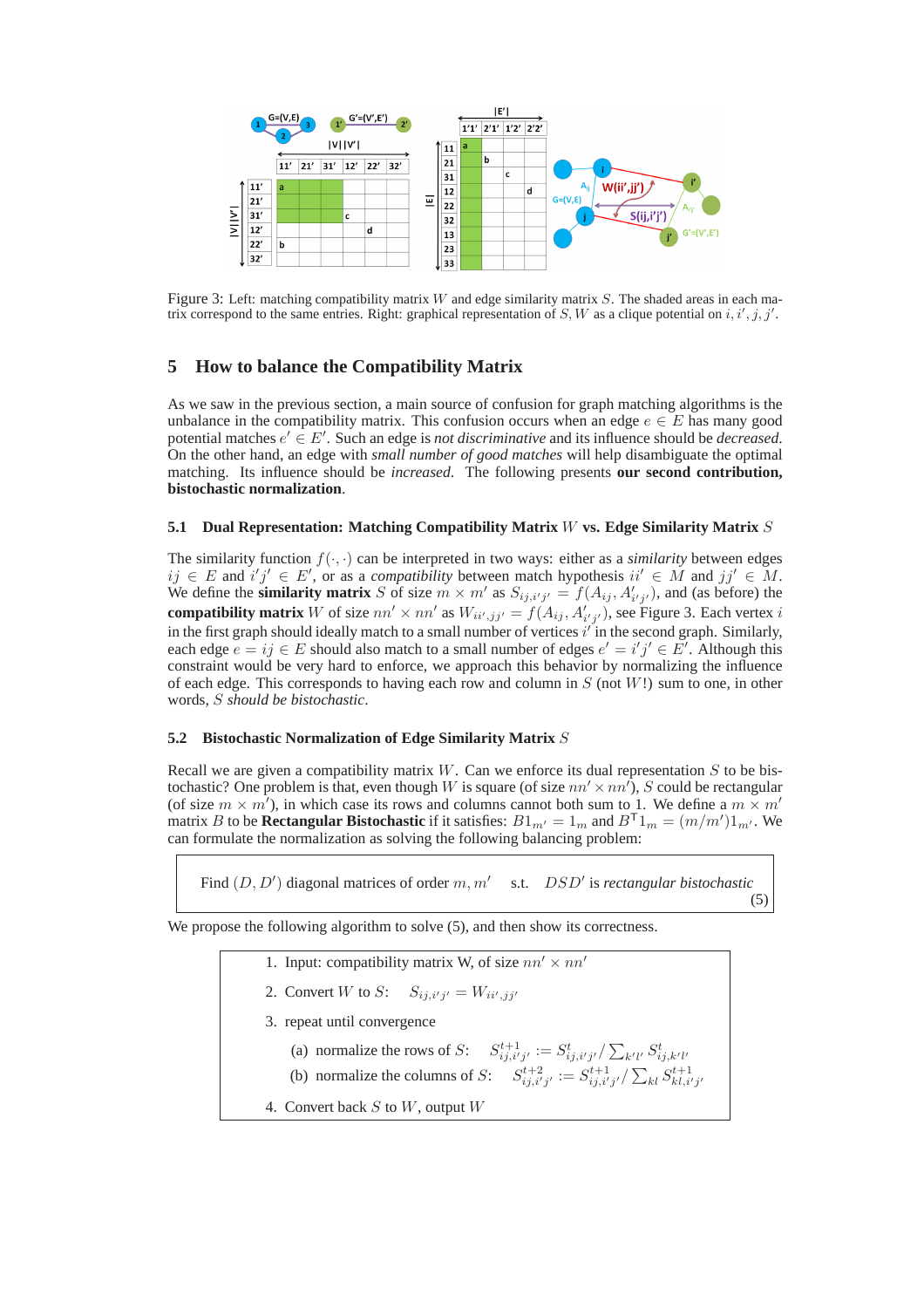

Figure 3: Left: matching compatibility matrix W and edge similarity matrix S. The shaded areas in each matrix correspond to the same entries. Right: graphical representation of S, W as a clique potential on  $i, i', j, j'$ .

# **5 How to balance the Compatibility Matrix**

As we saw in the previous section, a main source of confusion for graph matching algorithms is the unbalance in the compatibility matrix. This confusion occurs when an edge  $e \in E$  has many good potential matches  $e' \in E'$ . Such an edge is *not discriminative* and its influence should be *decreased*. On the other hand, an edge with *small number of good matches* will help disambiguate the optimal matching. Its influence should be *increased*. The following presents **our second contribution, bistochastic normalization**.

#### **5.1 Dual Representation: Matching Compatibility Matrix** W **vs. Edge Similarity Matrix** S

The similarity function  $f(\cdot, \cdot)$  can be interpreted in two ways: either as a *similarity* between edges ij ∈ E and i'j' ∈ E', or as a *compatibility* between match hypothesis ii' ∈ M and jj' ∈ M. We define the **similarity matrix** S of size  $m \times m'$  as  $S_{ij,i'j'} = f(A_{ij}, A'_{i'j'})$ , and (as before) the **compatibility matrix** W of size  $nn' \times nn'$  as  $W_{ii',jj'} = f(A_{ij}, A'_{i'j'})$ , see Figure 3. Each vertex i in the first graph should ideally match to a small number of vertices  $i'$  in the second graph. Similarly, each edge  $e = ij \in E$  should also match to a small number of edges  $e' = i'j' \in E'$ . Although this constraint would be very hard to enforce, we approach this behavior by normalizing the influence of each edge. This corresponds to having each row and column in  $S$  (not  $W!$ ) sum to one, in other words, S *should be bistochastic*.

#### **5.2 Bistochastic Normalization of Edge Similarity Matrix** S

Recall we are given a compatibility matrix  $W$ . Can we enforce its dual representation  $S$  to be bistochastic? One problem is that, even though W is square (of size  $nn' \times nn'$ ), S could be rectangular (of size  $m \times m'$ ), in which case its rows and columns cannot both sum to 1. We define a  $m \times m'$ matrix B to be **Rectangular Bistochastic** if it satisfies:  $B1_{m'} = 1_m$  and  $B^T1_m = (m/m')1_{m'}$ . We can formulate the normalization as solving the following balancing problem:

Find  $(D, D')$  diagonal matrices of order  $m, m'$ s.t. DSD′ is *rectangular bistochastic* (5)

We propose the following algorithm to solve  $(5)$ , and then show its correctness.

- 1. Input: compatibility matrix W, of size  $nn' \times nn'$
- 2. Convert *W* to *S*:  $S_{ij,i'j'} = W_{ii',jj'}$
- 3. repeat until convergence
	- (a) normalize the rows of S:  $S_i^{t+1} = S_{ij,i'j'}^t = S_{ij,i'j'}^t / \sum_{k'l'} S_{ij,k'l'}^t$
	- (b) normalize the columns of  $S: S_{ij,i'j'}^{t+2} := S_{ij,i'j'}^{t+1} / \sum_{kl} S_{kl,i'j'}^{t+1}$
- 4. Convert back S to W, output W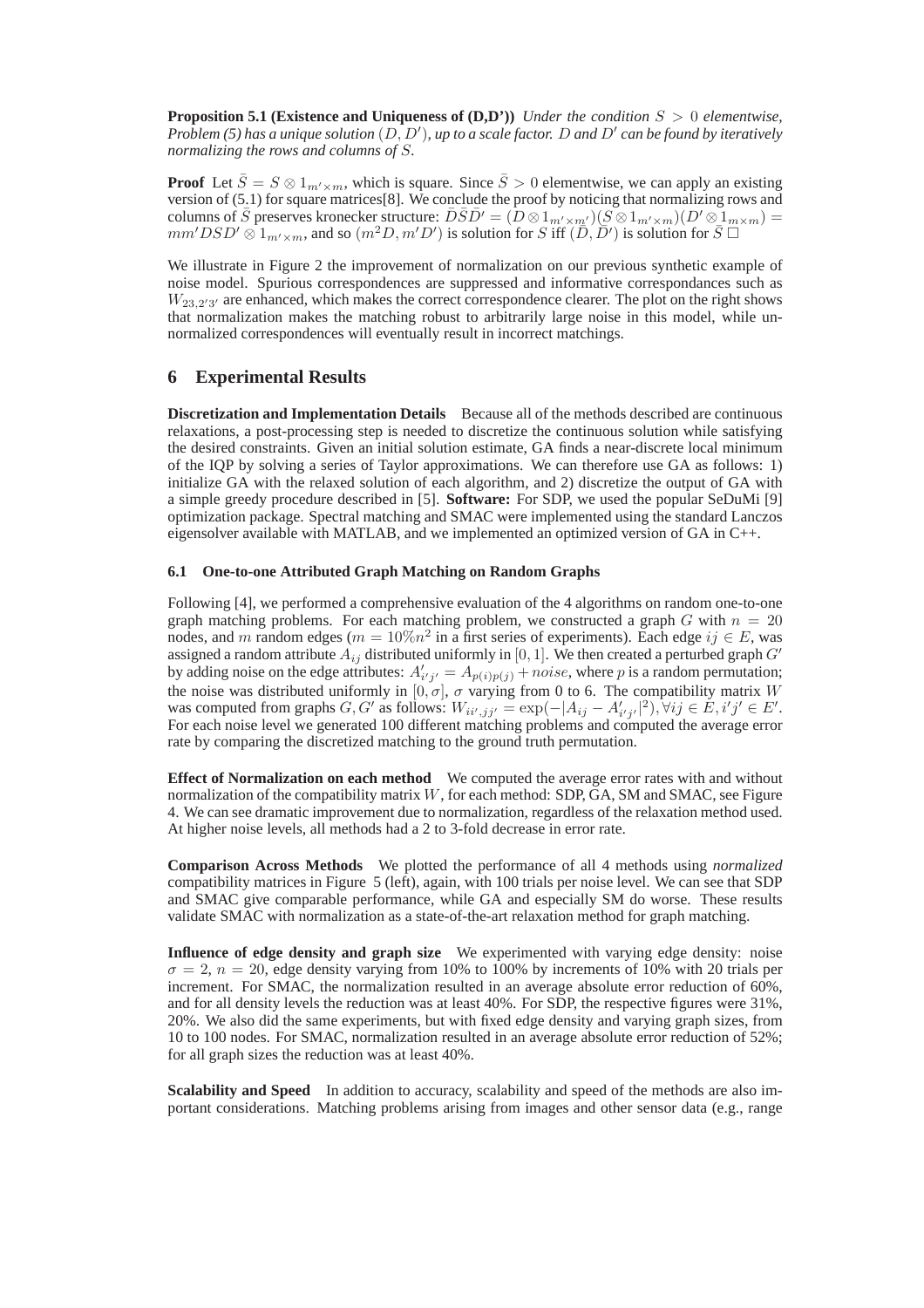**Proposition 5.1 (Existence and Uniqueness of (D,D'))** *Under the condition* S > 0 *elementwise, Problem (5) has a unique solution* (D, D′ )*, up to a scale factor.* D *and* D′ *can be found by iteratively normalizing the rows and columns of* S*.*

**Proof** Let  $\bar{S} = S \otimes 1_{m' \times m}$ , which is square. Since  $\bar{S} > 0$  elementwise, we can apply an existing version of (5.1) for square matrices[8]. We conclude the proof by noticing that normalizing rows and columns of  $\overline{S}$  preserves kronecker structure:  $\overline{D}\overline{S}\overline{D'} = (\overline{D} \otimes 1_{m' \times m'}) (\overline{S} \otimes 1_{m' \times m})(D' \otimes 1_{m \times m}) =$  $mm'DSD'\otimes 1_{m'\times m}$ , and so  $(m^2D,m'D')$  is solution for  $S$  iff  $(\overline{D},\overline{D}')$  is solution for  $\overline{S}\ \overline{\Box}$ 

We illustrate in Figure 2 the improvement of normalization on our previous synthetic example of noise model. Spurious correspondences are suppressed and informative correspondances such as  $W_{23,2'3'}$  are enhanced, which makes the correct correspondence clearer. The plot on the right shows that normalization makes the matching robust to arbitrarily large noise in this model, while unnormalized correspondences will eventually result in incorrect matchings.

# **6 Experimental Results**

**Discretization and Implementation Details** Because all of the methods described are continuous relaxations, a post-processing step is needed to discretize the continuous solution while satisfying the desired constraints. Given an initial solution estimate, GA finds a near-discrete local minimum of the IQP by solving a series of Taylor approximations. We can therefore use GA as follows: 1) initialize GA with the relaxed solution of each algorithm, and 2) discretize the output of GA with a simple greedy procedure described in [5]. **Software:** For SDP, we used the popular SeDuMi [9] optimization package. Spectral matching and SMAC were implemented using the standard Lanczos eigensolver available with MATLAB, and we implemented an optimized version of GA in C++.

### **6.1 One-to-one Attributed Graph Matching on Random Graphs**

Following [4], we performed a comprehensive evaluation of the 4 algorithms on random one-to-one graph matching problems. For each matching problem, we constructed a graph  $G$  with  $n = 20$ nodes, and m random edges ( $m = 10\%n^2$  in a first series of experiments). Each edge  $ij \in E$ , was assigned a random attribute  $A_{ij}$  distributed uniformly in [0, 1]. We then created a perturbed graph  $G'$ by adding noise on the edge attributes:  $A'_{i'j'} = A_{p(i)p(j)} + noise$ , where p is a random permutation; the noise was distributed uniformly in [0,  $\sigma$ ],  $\sigma$  varying from 0 to 6. The compatibility matrix W was computed from graphs  $G, G'$  as follows:  $W_{ii',jj'} = \exp(-|A_{ij} - A'_{i'j'}|^2), \forall ij \in E, i'j' \in E'.$ For each noise level we generated 100 different matching problems and computed the average error rate by comparing the discretized matching to the ground truth permutation.

**Effect of Normalization on each method** We computed the average error rates with and without normalization of the compatibility matrix  $W$ , for each method: SDP, GA, SM and SMAC, see Figure 4. We can see dramatic improvement due to normalization, regardless of the relaxation method used. At higher noise levels, all methods had a 2 to 3-fold decrease in error rate.

**Comparison Across Methods** We plotted the performance of all 4 methods using *normalized* compatibility matrices in Figure 5 (left), again, with 100 trials per noise level. We can see that SDP and SMAC give comparable performance, while GA and especially SM do worse. These results validate SMAC with normalization as a state-of-the-art relaxation method for graph matching.

**Influence of edge density and graph size** We experimented with varying edge density: noise  $\sigma = 2$ ,  $n = 20$ , edge density varying from 10% to 100% by increments of 10% with 20 trials per increment. For SMAC, the normalization resulted in an average absolute error reduction of 60%, and for all density levels the reduction was at least 40%. For SDP, the respective figures were 31%, 20%. We also did the same experiments, but with fixed edge density and varying graph sizes, from 10 to 100 nodes. For SMAC, normalization resulted in an average absolute error reduction of 52%; for all graph sizes the reduction was at least 40%.

**Scalability and Speed** In addition to accuracy, scalability and speed of the methods are also important considerations. Matching problems arising from images and other sensor data (e.g., range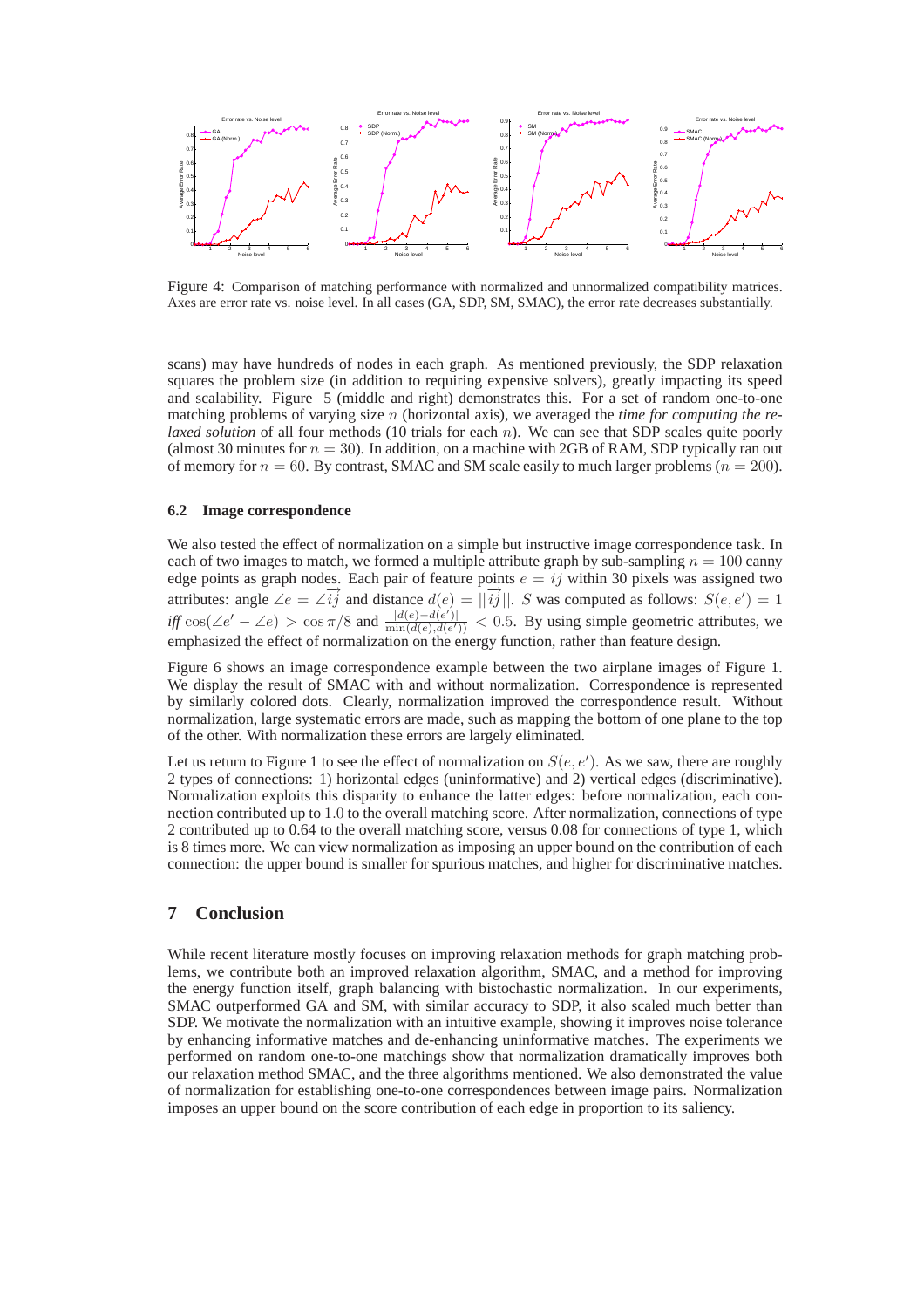

Figure 4: Comparison of matching performance with normalized and unnormalized compatibility matrices. Axes are error rate vs. noise level. In all cases (GA, SDP, SM, SMAC), the error rate decreases substantially.

scans) may have hundreds of nodes in each graph. As mentioned previously, the SDP relaxation squares the problem size (in addition to requiring expensive solvers), greatly impacting its speed and scalability. Figure 5 (middle and right) demonstrates this. For a set of random one-to-one matching problems of varying size n (horizontal axis), we averaged the *time for computing the relaxed solution* of all four methods (10 trials for each n). We can see that SDP scales quite poorly (almost 30 minutes for  $n = 30$ ). In addition, on a machine with 2GB of RAM, SDP typically ran out of memory for  $n = 60$ . By contrast, SMAC and SM scale easily to much larger problems ( $n = 200$ ).

#### **6.2 Image correspondence**

We also tested the effect of normalization on a simple but instructive image correspondence task. In each of two images to match, we formed a multiple attribute graph by sub-sampling  $n = 100$  canny edge points as graph nodes. Each pair of feature points  $e = ij$  within 30 pixels was assigned two attributes: angle  $\angle e = \angle i \vec{j}$  and distance  $d(e) = ||\vec{i}||$ . S was computed as follows:  $S(e, e') = 1$ *iff* cos( $\angle e' - \angle e$ ) > cos  $\pi/8$  and  $\frac{|d(e) - d(e')|}{\min(d(e) - d(e'))}$  $\frac{|d(e) - d(e)|}{\min(d(e), d(e'))} < 0.5$ . By using simple geometric attributes, we emphasized the effect of normalization on the energy function, rather than feature design.

Figure 6 shows an image correspondence example between the two airplane images of Figure 1. We display the result of SMAC with and without normalization. Correspondence is represented by similarly colored dots. Clearly, normalization improved the correspondence result. Without normalization, large systematic errors are made, such as mapping the bottom of one plane to the top of the other. With normalization these errors are largely eliminated.

Let us return to Figure 1 to see the effect of normalization on  $S(e, e')$ . As we saw, there are roughly 2 types of connections: 1) horizontal edges (uninformative) and 2) vertical edges (discriminative). Normalization exploits this disparity to enhance the latter edges: before normalization, each connection contributed up to 1.0 to the overall matching score. After normalization, connections of type 2 contributed up to 0.64 to the overall matching score, versus 0.08 for connections of type 1, which is 8 times more. We can view normalization as imposing an upper bound on the contribution of each connection: the upper bound is smaller for spurious matches, and higher for discriminative matches.

## **7 Conclusion**

While recent literature mostly focuses on improving relaxation methods for graph matching problems, we contribute both an improved relaxation algorithm, SMAC, and a method for improving the energy function itself, graph balancing with bistochastic normalization. In our experiments, SMAC outperformed GA and SM, with similar accuracy to SDP, it also scaled much better than SDP. We motivate the normalization with an intuitive example, showing it improves noise tolerance by enhancing informative matches and de-enhancing uninformative matches. The experiments we performed on random one-to-one matchings show that normalization dramatically improves both our relaxation method SMAC, and the three algorithms mentioned. We also demonstrated the value of normalization for establishing one-to-one correspondences between image pairs. Normalization imposes an upper bound on the score contribution of each edge in proportion to its saliency.